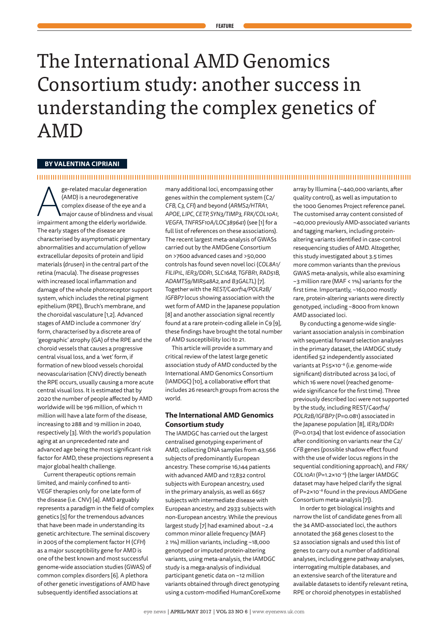# The International AMD Genomics Consortium study: another success in understanding the complex genetics of AMD

## **BY VALENTINA CIPRIANI**

## 

ge-related macular degeneration<br>
(AMD) is a neurodegenerative<br>
complex disease of the eye and a<br>
major cause of blindness and visu<br>
impairment among the elderly worldwide. ge-related macular degeneration (AMD) is a neurodegenerative complex disease of the eye and a major cause of blindness and visual The early stages of the disease are characterised by asymptomatic pigmentary abnormalities and accumulation of yellow extracellular deposits of protein and lipid materials (drusen) in the central part of the retina (macula). The disease progresses with increased local inflammation and damage of the whole photoreceptor support system, which includes the retinal pigment epithelium (RPE), Bruch's membrane, and the choroidal vasculature [1,2]. Advanced stages of AMD include a commoner 'dry' form, characterised by a discrete area of 'geographic' atrophy (GA) of the RPE and the choroid vessels that causes a progressive central visual loss, and a 'wet' form, if formation of new blood vessels choroidal neovascularisation (CNV) directly beneath the RPE occurs, usually causing a more acute central visual loss. It is estimated that by 2020 the number of people affected by AMD worldwide will be 196 million, of which 11 million will have a late form of the disease, increasing to 288 and 19 million in 2040, respectively [3]. With the world's population aging at an unprecedented rate and advanced age being the most significant risk factor for AMD, these projections represent a major global health challenge.

Current therapeutic options remain limited, and mainly confined to anti-VEGF therapies only for one late form of the disease (i.e. CNV) [4]. AMD arguably represents a paradigm in the field of complex genetics [5] for the tremendous advances that have been made in understanding its genetic architecture. The seminal discovery in 2005 of the complement factor H (*CFH*) as a major susceptibility gene for AMD is one of the best known and most successful genome-wide association studies (GWAS) of common complex disorders [6]. A plethora of other genetic investigations of AMD have subsequently identified associations at

many additional loci, encompassing other genes within the complement system (*C2/ CFB, C3, CFI*) and beyond (*ARMS2/HTRA1, APOE, LIPC, CETP, SYN3/TIMP3, FRK/COL10A1, VEGFA, TNFRSF10A/LOC389641*) (see [1] for a full list of references on these associations). The recent largest meta-analysis of GWASs carried out by the AMDGene Consortium on >7600 advanced cases and >50,000 controls has found seven novel loci (*COL8A1/ FILIP1L, IER3/DDR1, SLC16A8, TGFBR1, RAD51B, ADAMTS9/MIR548A2,* and *B3GALTL*) [7]. Together with the *REST/C4orf14/POLR2B/ IGFBP7* locus showing association with the wet form of AMD in the Japanese population [8] and another association signal recently found at a rare protein-coding allele in C9 [9], these findings have brought the total number of AMD susceptibility loci to 21.

This article will provide a summary and critical review of the latest large genetic association study of AMD conducted by the International AMD Genomics Consortium (IAMDGC) [10], a collaborative effort that includes 26 research groups from across the world.

## **The International AMD Genomics Consortium study**

The IAMDGC has carried out the largest centralised genotyping experiment of AMD, collecting DNA samples from 43,566 subjects of predominantly European ancestry. These comprise 16,144 patients with advanced AMD and 17,832 control subjects with European ancestry, used in the primary analysis, as well as 6657 subjects with intermediate disease with European ancestry, and 2933 subjects with non-European ancestry. While the previous largest study [7] had examined about ~2.4 common minor allele frequency (MAF) ≥ 1%) million variants, including ~18,000 genotyped or imputed protein-altering variants, using meta-analysis, the IAMDGC study is a mega-analysis of individual participant genetic data on ~12 million variants obtained through direct genotyping using a custom-modified HumanCoreExome array by Illumina (~440,000 variants, after quality control), as well as imputation to the 1000 Genomes Project reference panel. The customised array content consisted of ~40,000 previously AMD-associated variants and tagging markers, including proteinaltering variants identified in case-control resequencing studies of AMD. Altogether, this study investigated about 3.5 times more common variants than the previous GWAS meta-analysis, while also examining ~3 million rare (MAF < 1%) variants for the first time. Importantly, ~160,000 mostly rare, protein-altering variants were directly genotyped, including ~8000 from known AMD associated loci.

By conducting a genome-wide singlevariant association analysis in combination with sequential forward selection analyses in the primary dataset, the IAMDGC study identified 52 independently associated variants at P≤5×10−8 (i.e. genome-wide significant) distributed across 34 loci, of which 16 were novel (reached genomewide significance for the first time). Three previously described loci were not supported by the study, including REST/*C4orf14/ POLR2B/IGFBP7* (P=0.081) associated in the Japanese population [8], *IER3/DDR1* (P=0.0134) that lost evidence of association after conditioning on variants near the *C2/ CFB* genes (possible shadow effect found with the use of wider locus regions in the sequential conditioning approach), and *FRK/ COL10A1* (P=1.2×10–4) (the larger IAMDGC dataset may have helped clarify the signal of P=2×10−8 found in the previous AMDGene Consortium meta-analysis [7]).

In order to get biological insights and narrow the list of candidate genes from all the 34 AMD-associated loci, the authors annotated the 368 genes closest to the 52 association signals and used this list of genes to carry out a number of additional analyses, including gene pathway analyses, interrogating multiple databases, and an extensive search of the literature and available datasets to identify relevant retina, RPE or choroid phenotypes in established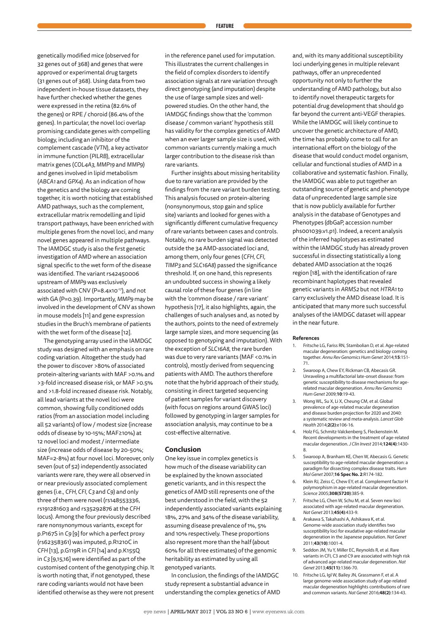genetically modified mice (observed for 32 genes out of 368) and genes that were approved or experimental drug targets (31 genes out of 368). Using data from two independent in-house tissue datasets, they have further checked whether the genes were expressed in the retina (82.6% of the genes) or RPE / choroid (86.4% of the genes). In particular, the novel loci overlap promising candidate genes with compelling biology, including an inhibitor of the complement cascade (*VTN*), a key activator in immune function (*PILRB*), extracellular matrix genes (*COL4A3, MMP19* and *MMP9*) and genes involved in lipid metabolism (*ABCA1* and *GPX4*). As an indication of how the genetics and the biology are coming together, it is worth noticing that established AMD pathways, such as the complement, extracellular matrix remodelling and lipid transport pathways, have been enriched with multiple genes from the novel loci, and many novel genes appeared in multiple pathways. The IAMDGC study is also the first genetic investigation of AMD where an association signal specific to the wet form of the disease was identified. The variant rs42450006 upstream of *MMP9* was exclusively associated with CNV (P=8.4x10<sup>-17</sup>), and not with GA (P=0.39). Importantly, *MMP9* may be involved in the development of CNV as shown in mouse models [11] and gene expression studies in the Bruch's membrane of patients with the wet form of the disease [12].

The genotyping array used in the IAMDGC study was designed with an emphasis on rare coding variation. Altogether the study had the power to discover >80% of associated protein-altering variants with MAF >0.1% and >3-fold increased disease risk, or MAF >0.5% and >1.8-fold increased disease risk. Notably, all lead variants at the novel loci were common, showing fully conditioned odds ratios (from an association model including all 52 variants) of low / modest size (increase odds of disease by 10-15%; MAF≥10%) at 12 novel loci and modest / intermediate size (increase odds of disease by 20-50%; MAF=2-8%) at four novel loci. Moreover, only seven (out of 52) independently associated variants were rare, they were all observed in or near previously associated complement genes (i.e., *CFH, CFI, C3* and *C9*) and only three of them were novel (rs148553336, rs191281603 and rs35292876 at the *CFH* locus). Among the four previously described rare nonsynonymous variants, except for p.P167S in *C9* [9] for which a perfect proxy (rs62358361) was imputed, p.R1210C in *CFH* [13], p.G119R in *CFI* [14] and p.K155Q in *C3* [9,15,16] were identified as part of the customised content of the genotyping chip. It is worth noting that, if not genotyped, these rare coding variants would not have been identified otherwise as they were not present in the reference panel used for imputation. This illustrates the current challenges in the field of complex disorders to identify association signals at rare variation through direct genotyping (and imputation) despite the use of large sample sizes and wellpowered studies. On the other hand, the IAMDGC findings show that the 'common disease / common variant' hypothesis still has validity for the complex genetics of AMD when an ever larger sample size is used, with common variants currently making a much larger contribution to the disease risk than rare variants.

Further insights about missing heritability due to rare variation are provided by the findings from the rare variant burden testing. This analysis focused on protein-altering (nonsynonymous, stop gain and splice site) variants and looked for genes with a significantly different cumulative frequency of rare variants between cases and controls. Notably, no rare burden signal was detected outside the 34 AMD-associated loci and, among them, only four genes (*CFH, CFI, TIMP3* and *SLC16A8*) passed the significance threshold. If, on one hand, this represents an undoubted success in showing a likely causal role of these four genes (in line with the 'common disease / rare variant' hypothesis [17], it also highlights, again, the challenges of such analyses and, as noted by the authors, points to the need of extremely large sample sizes, and more sequencing (as opposed to genotyping and imputation). With the exception of *SLC16A8*, the rare burden was due to very rare variants (MAF <0.1% in controls), mostly derived from sequencing patients with AMD. The authors therefore note that the hybrid approach of their study, consisting in direct targeted sequencing of patient samples for variant discovery (with focus on regions around GWAS loci) followed by genotyping in larger samples for association analysis, may continue to be a cost-effective alternative.

### **Conclusion**

One key issue in complex genetics is how much of the disease variability can be explained by the known associated genetic variants, and in this respect the genetics of AMD still represents one of the best understood in the field, with the 52 independently associated variants explaining 18%, 27% and 34% of the disease variability, assuming disease prevalence of 1%, 5% and 10% respectively. These proportions also represent more than the half (about 60% for all three estimates) of the genomic heritability as estimated by using all genotyped variants.

In conclusion, the findings of the IAMDGC study represent a substantial advance in understanding the complex genetics of AMD and, with its many additional susceptibility loci underlying genes in multiple relevant pathways, offer an unprecedented opportunity not only to further the understanding of AMD pathology, but also to identify novel therapeutic targets for potential drug development that should go far beyond the current anti-VEGF therapies. While the IAMDGC will likely continue to uncover the genetic architecture of AMD, the time has probably come to call for an international effort on the biology of the disease that would conduct model organism, cellular and functional studies of AMD in a collaborative and systematic fashion. Finally, the IAMDGC was able to put together an outstanding source of genetic and phenotype data of unprecedented large sample size that is now publicly available for further analysis in the database of Genotypes and Phenotypes (dbGaP, accession number phs001039.v1.p1). Indeed, a recent analysis of the inferred haplotypes as estimated within the IAMDGC study has already proven successful in dissecting statistically a long debated AMD association at the 10q26 region [18], with the identification of rare recombinant haplotypes that revealed genetic variants in *ARMS2* but not *HTRA1* to carry exclusively the AMD disease load. It is anticipated that many more such successful analyses of the IAMDGC dataset will appear in the near future.

#### **References**

- 1. Fritsche LG, Fariss RN, Stambolian D, et al. Age-related macular degeneration: genetics and biology coming together. *Annu Rev Genomics Hum Genet* 2014;**15**:151- 71.
- 2. Swaroop A, Chew EY, Rickman CB, Abecasis GR. Unraveling a multifactorial late-onset disease: from genetic susceptibility to disease mechanisms for agerelated macular degeneration. *Annu Rev Genomics Hum Genet* 2009;**10**:19-43.
- 3. Wong WL, Su X, Li X, Cheung CM, et al. Global prevalence of age-related macular degeneration and disease burden projection for 2020 and 2040: a systematic review and meta-analysis. *Lancet Glob Health* 2014;**2(2)**:e106-16.
- 4. Holz FG, Schmitz-Valckenberg S, Fleckenstein M. Recent developments in the treatment of age-related macular degeneration. *J Clin Invest* 2014;**124(4)**:1430- 8.
- 5. Swaroop A, Branham KE, Chen W, Abecasis G. Genetic susceptibility to age-related macular degeneration: a paradigm for dissecting complex disease traits. *Hum Mol Genet* 2007;**16 Spec No. 2**:R174-182.
- 6. Klein RJ, Zeiss C, Chew EY, et al. Complement factor H polymorphism in age-related macular degeneration. *Science* 2005;**308(5720)**:385-9.
- Fritsche LG, Chen W, Schu M, et al. Seven new loci associated with age-related macular degeneration. *Nat Genet* 2013;**45(4)**:433-9.
- 8. Arakawa S, Takahashi A, Ashikawa K, et al. Genome-wide association study identifies two susceptibility loci for exudative age-related macular degeneration in the Japanese population. *Nat Genet* 2011;**43(10)**:1001-4.
- 9. Seddon JM, Yu Y, Miller EC, Reynolds R, et al. Rare variants in CFI, C3 and C9 are associated with high risk of advanced age-related macular degeneration. *Nat Genet* 2013;**45(11)**:1366-70.
- 10. Fritsche LG, Igl W, Bailey JN, Grassmann F, et al. A large genome-wide association study of age-related macular degeneration highlights contributions of rare and common variants. *Nat Genet* 2016;**48(2)**:134-43.